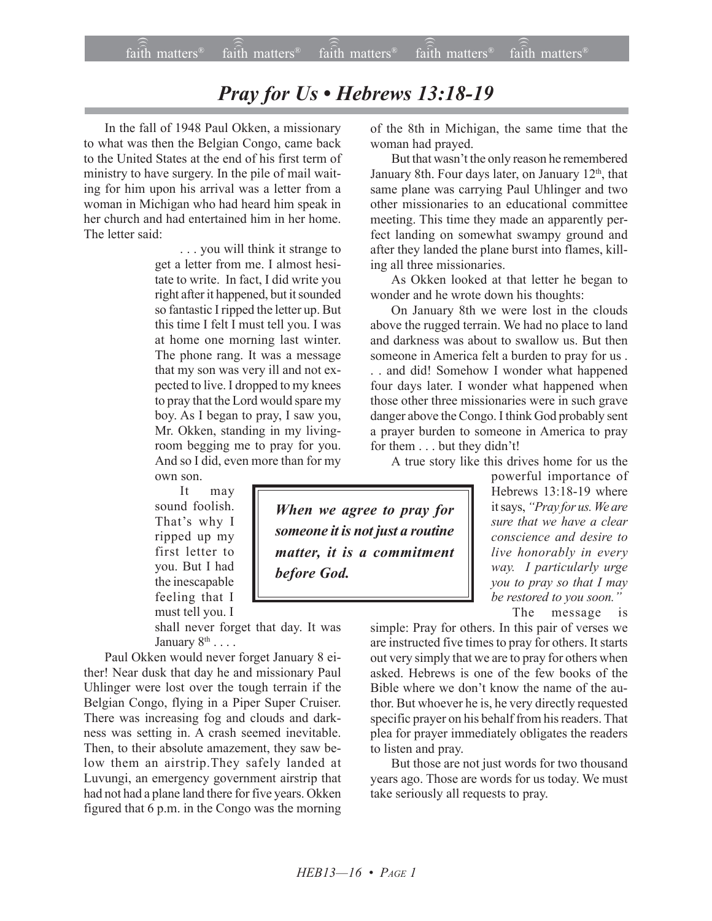## *Pray for Us • Hebrews 13:18-19*

In the fall of 1948 Paul Okken, a missionary to what was then the Belgian Congo, came back to the United States at the end of his first term of ministry to have surgery. In the pile of mail waiting for him upon his arrival was a letter from a woman in Michigan who had heard him speak in her church and had entertained him in her home. The letter said:

> . . . you will think it strange to get a letter from me. I almost hesitate to write. In fact, I did write you right after it happened, but it sounded so fantastic I ripped the letter up. But this time I felt I must tell you. I was at home one morning last winter. The phone rang. It was a message that my son was very ill and not expected to live. I dropped to my knees to pray that the Lord would spare my boy. As I began to pray, I saw you, Mr. Okken, standing in my livingroom begging me to pray for you. And so I did, even more than for my own son.

It may sound foolish. That's why I ripped up my first letter to you. But I had the inescapable feeling that I must tell you. I

shall never forget that day. It was January  $8^{\text{th}}$  . . . .

Paul Okken would never forget January 8 either! Near dusk that day he and missionary Paul Uhlinger were lost over the tough terrain if the Belgian Congo, flying in a Piper Super Cruiser. There was increasing fog and clouds and darkness was setting in. A crash seemed inevitable. Then, to their absolute amazement, they saw below them an airstrip.They safely landed at Luvungi, an emergency government airstrip that had not had a plane land there for five years. Okken figured that 6 p.m. in the Congo was the morning of the 8th in Michigan, the same time that the woman had prayed.

But that wasn't the only reason he remembered January 8th. Four days later, on January 12<sup>th</sup>, that same plane was carrying Paul Uhlinger and two other missionaries to an educational committee meeting. This time they made an apparently perfect landing on somewhat swampy ground and after they landed the plane burst into flames, killing all three missionaries.

As Okken looked at that letter he began to wonder and he wrote down his thoughts:

On January 8th we were lost in the clouds above the rugged terrain. We had no place to land and darkness was about to swallow us. But then someone in America felt a burden to pray for us .

. . and did! Somehow I wonder what happened four days later. I wonder what happened when those other three missionaries were in such grave danger above the Congo. I think God probably sent a prayer burden to someone in America to pray for them  $\dots$  but they didn't!

A true story like this drives home for us the

powerful importance of Hebrews 13:18-19 where it says, *ìPray for us. We are sure that we have a clear conscience and desire to live honorably in every way. I particularly urge you to pray so that I may* be restored to you soon.<sup>"</sup>

The message is

simple: Pray for others. In this pair of verses we are instructed five times to pray for others. It starts out very simply that we are to pray for others when asked. Hebrews is one of the few books of the Bible where we don't know the name of the author. But whoever he is, he very directly requested specific prayer on his behalf from his readers. That plea for prayer immediately obligates the readers to listen and pray.

But those are not just words for two thousand years ago. Those are words for us today. We must take seriously all requests to pray.

*When we agree to pray for someone it is not just a routine matter, it is a commitment before God.*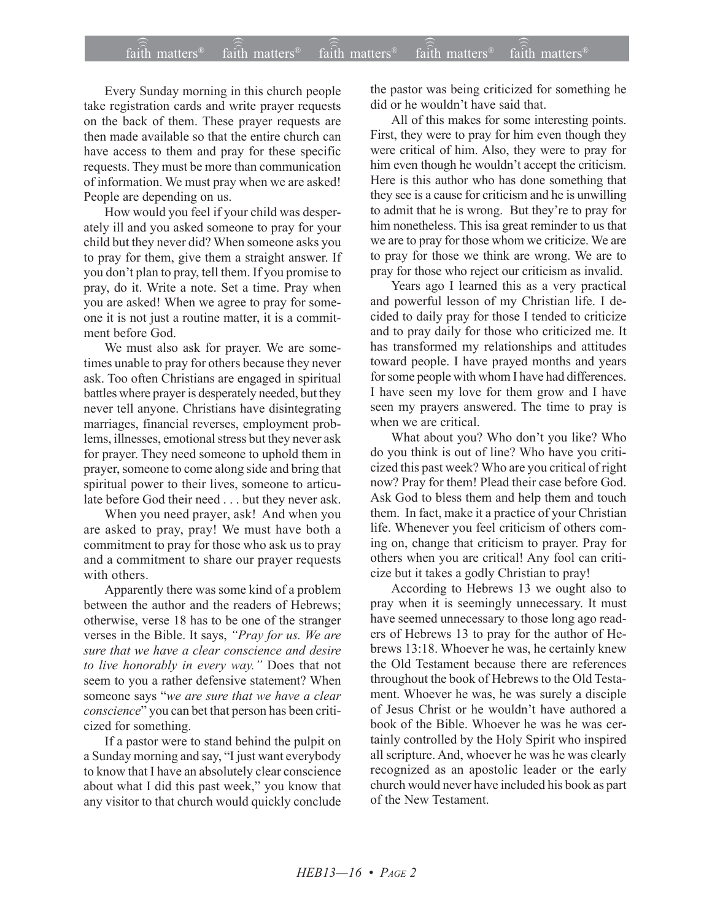## $\widehat{\widehat{\mathfrak{tair}}}$  matters  $^{\circ}$  faith matters faith matters  $^{\circ}$  faith matters faith matters  $^{\circ}$  $f$ aith matters<sup>®</sup>  $f$ aith matters<sup>®</sup> faith matters<sup>®</sup>

Every Sunday morning in this church people take registration cards and write prayer requests on the back of them. These prayer requests are then made available so that the entire church can have access to them and pray for these specific requests. They must be more than communication of information. We must pray when we are asked! People are depending on us.

How would you feel if your child was desperately ill and you asked someone to pray for your child but they never did? When someone asks you to pray for them, give them a straight answer. If you don't plan to pray, tell them. If you promise to pray, do it. Write a note. Set a time. Pray when you are asked! When we agree to pray for someone it is not just a routine matter, it is a commitment before God.

We must also ask for prayer. We are sometimes unable to pray for others because they never ask. Too often Christians are engaged in spiritual battles where prayer is desperately needed, but they never tell anyone. Christians have disintegrating marriages, financial reverses, employment problems, illnesses, emotional stress but they never ask for prayer. They need someone to uphold them in prayer, someone to come along side and bring that spiritual power to their lives, someone to articulate before God their need . . . but they never ask.

When you need prayer, ask! And when you are asked to pray, pray! We must have both a commitment to pray for those who ask us to pray and a commitment to share our prayer requests with others.

Apparently there was some kind of a problem between the author and the readers of Hebrews; otherwise, verse 18 has to be one of the stranger verses in the Bible. It says, *'Pray for us. We are sure that we have a clear conscience and desire to live honorably in every way.î* Does that not seem to you a rather defensive statement? When someone says "we are sure that we have a clear *conscience*" you can bet that person has been criticized for something.

If a pastor were to stand behind the pulpit on a Sunday morning and say, "I just want everybody to know that I have an absolutely clear conscience about what I did this past week," you know that any visitor to that church would quickly conclude the pastor was being criticized for something he did or he wouldn't have said that.

All of this makes for some interesting points. First, they were to pray for him even though they were critical of him. Also, they were to pray for him even though he wouldn't accept the criticism. Here is this author who has done something that they see is a cause for criticism and he is unwilling to admit that he is wrong. But they're to pray for him nonetheless. This isa great reminder to us that we are to pray for those whom we criticize. We are to pray for those we think are wrong. We are to pray for those who reject our criticism as invalid.

Years ago I learned this as a very practical and powerful lesson of my Christian life. I decided to daily pray for those I tended to criticize and to pray daily for those who criticized me. It has transformed my relationships and attitudes toward people. I have prayed months and years for some people with whom I have had differences. I have seen my love for them grow and I have seen my prayers answered. The time to pray is when we are critical.

What about you? Who don't you like? Who do you think is out of line? Who have you criticized this past week? Who are you critical of right now? Pray for them! Plead their case before God. Ask God to bless them and help them and touch them. In fact, make it a practice of your Christian life. Whenever you feel criticism of others coming on, change that criticism to prayer. Pray for others when you are critical! Any fool can criticize but it takes a godly Christian to pray!

According to Hebrews 13 we ought also to pray when it is seemingly unnecessary. It must have seemed unnecessary to those long ago readers of Hebrews 13 to pray for the author of Hebrews 13:18. Whoever he was, he certainly knew the Old Testament because there are references throughout the book of Hebrews to the Old Testament. Whoever he was, he was surely a disciple of Jesus Christ or he wouldn't have authored a book of the Bible. Whoever he was he was certainly controlled by the Holy Spirit who inspired all scripture. And, whoever he was he was clearly recognized as an apostolic leader or the early church would never have included his book as part of the New Testament.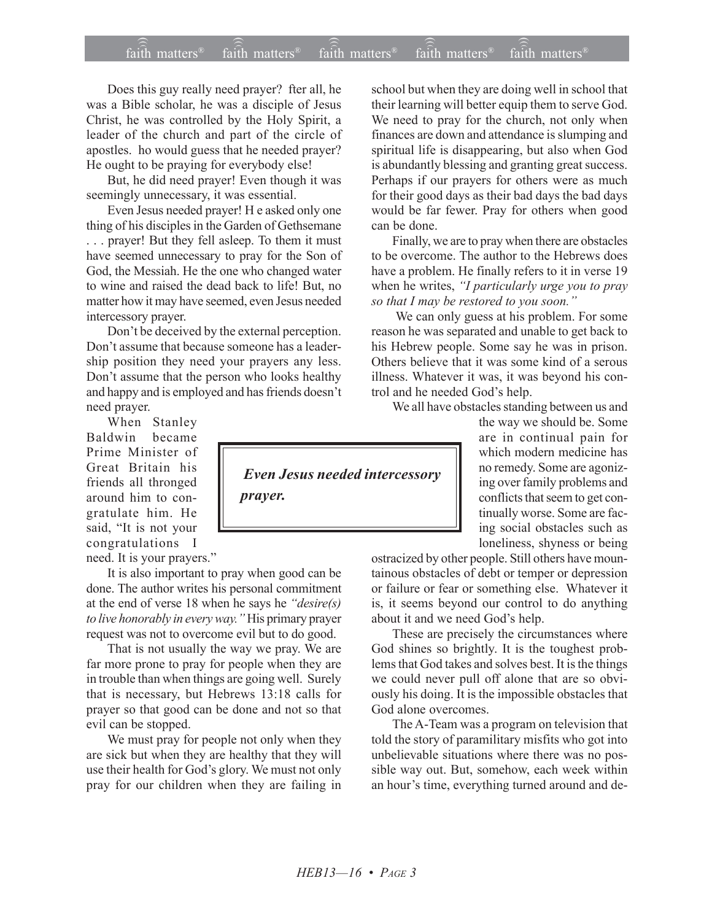## $\widehat{\widehat{\mathfrak{tair}}}$  matters  $^{\circ}$  faith matters faith matters  $^{\circ}$  faith matters faith matters  $^{\circ}$  $fa$  $\overline{ih}$  matters<sup>®</sup> faith matters $\mathbb{R}$  $f$ aith matters<sup>®</sup>

Does this guy really need prayer? fter all, he was a Bible scholar, he was a disciple of Jesus Christ, he was controlled by the Holy Spirit, a leader of the church and part of the circle of apostles. ho would guess that he needed prayer? He ought to be praying for everybody else!

But, he did need prayer! Even though it was seemingly unnecessary, it was essential.

Even Jesus needed prayer! H e asked only one thing of his disciples in the Garden of Gethsemane . . . prayer! But they fell asleep. To them it must have seemed unnecessary to pray for the Son of God, the Messiah. He the one who changed water to wine and raised the dead back to life! But, no matter how it may have seemed, even Jesus needed intercessory prayer.

Don't be deceived by the external perception. Don't assume that because someone has a leadership position they need your prayers any less. Don't assume that the person who looks healthy and happy and is employed and has friends doesn't need prayer.

When Stanley Baldwin became Prime Minister of Great Britain his friends all thronged around him to congratulate him. He said, "It is not your congratulations I

need. It is your prayers."

It is also important to pray when good can be done. The author writes his personal commitment at the end of verse 18 when he says he *ìdesire(s) to live honorably in every way.* "His primary prayer request was not to overcome evil but to do good.

That is not usually the way we pray. We are far more prone to pray for people when they are in trouble than when things are going well. Surely that is necessary, but Hebrews 13:18 calls for prayer so that good can be done and not so that evil can be stopped.

We must pray for people not only when they are sick but when they are healthy that they will use their health for God's glory. We must not only pray for our children when they are failing in school but when they are doing well in school that their learning will better equip them to serve God. We need to pray for the church, not only when finances are down and attendance is slumping and spiritual life is disappearing, but also when God is abundantly blessing and granting great success. Perhaps if our prayers for others were as much for their good days as their bad days the bad days would be far fewer. Pray for others when good can be done.

Finally, we are to pray when there are obstacles to be overcome. The author to the Hebrews does have a problem. He finally refers to it in verse 19 when he writes, "I particularly urge you to pray so that I may be restored to you soon.<sup>"</sup>

We can only guess at his problem. For some reason he was separated and unable to get back to his Hebrew people. Some say he was in prison. Others believe that it was some kind of a serous illness. Whatever it was, it was beyond his control and he needed God's help.

We all have obstacles standing between us and

the way we should be. Some are in continual pain for which modern medicine has no remedy. Some are agonizing over family problems and conflicts that seem to get continually worse. Some are facing social obstacles such as loneliness, shyness or being

ostracized by other people. Still others have mountainous obstacles of debt or temper or depression or failure or fear or something else. Whatever it is, it seems beyond our control to do anything about it and we need God's help.

These are precisely the circumstances where God shines so brightly. It is the toughest problems that God takes and solves best. It is the things we could never pull off alone that are so obviously his doing. It is the impossible obstacles that God alone overcomes.

The A-Team was a program on television that told the story of paramilitary misfits who got into unbelievable situations where there was no possible way out. But, somehow, each week within an hour's time, everything turned around and de-

 *Even Jesus needed intercessory prayer.*